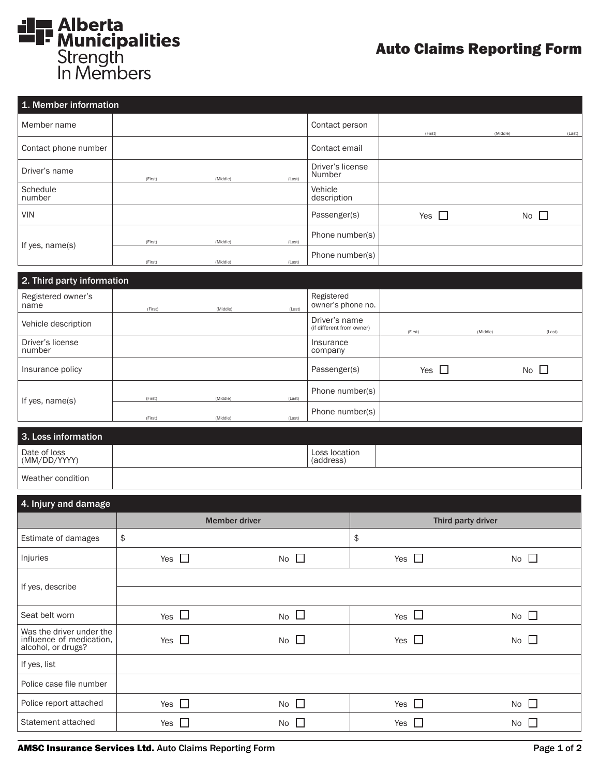

## Auto Claims Reporting Form

| 1. Member information |         |          |        |                            |            |              |        |
|-----------------------|---------|----------|--------|----------------------------|------------|--------------|--------|
| Member name           |         |          |        | Contact person             | (First)    | (Middle)     | (Last) |
| Contact phone number  |         |          |        | Contact email              |            |              |        |
| Driver's name         | (First) | (Middle) | (Last) | Driver's license<br>Number |            |              |        |
| Schedule<br>number    |         |          |        | Vehicle<br>description     |            |              |        |
| <b>VIN</b>            |         |          |        | Passenger(s)               | Yes $\Box$ | No $\square$ |        |
| If yes, name(s)       | (First) | (Middle) | (Last) | Phone number(s)            |            |              |        |
|                       | (First) | (Middle) | (Last) | Phone number(s)            |            |              |        |
|                       |         |          |        |                            |            |              |        |

| 2. Third party information |         |          |        |                                            |            |          |              |
|----------------------------|---------|----------|--------|--------------------------------------------|------------|----------|--------------|
| Registered owner's<br>name | (First) | (Middle) | (Last) | Registered<br>owner's phone no.            |            |          |              |
| Vehicle description        |         |          |        | Driver's name<br>(if different from owner) | (First)    | (Middle) | (Last)       |
| Driver's license<br>number |         |          |        | Insurance<br>company                       |            |          |              |
| Insurance policy           |         |          |        | Passenger(s)                               | Yes $\Box$ |          | No $\square$ |
| If yes, name(s)            | (First) | (Middle) | (Last) | Phone number(s)                            |            |          |              |
|                            | (First) | (Middle) | (Last) | Phone number(s)                            |            |          |              |

| 3. Loss information          |                            |  |
|------------------------------|----------------------------|--|
| Date of loss<br>(MM/DD/YYYY) | Loss location<br>(address) |  |
| Weather condition            |                            |  |

| 4. Injury and damage                                                       |                      |              |                    |              |  |
|----------------------------------------------------------------------------|----------------------|--------------|--------------------|--------------|--|
|                                                                            | <b>Member driver</b> |              | Third party driver |              |  |
| Estimate of damages                                                        | \$                   |              | \$                 |              |  |
| Injuries                                                                   | Yes $\square$        | No $\square$ | Yes $\Box$         | No $\square$ |  |
| If yes, describe                                                           |                      |              |                    |              |  |
|                                                                            |                      |              |                    |              |  |
| Seat belt worn                                                             | Yes $\Box$           | No $\square$ | Yes $\Box$         | No $\square$ |  |
| Was the driver under the<br>influence of medication,<br>alcohol, or drugs? | Yes $\Box$           | No $\Box$    | Yes $\Box$         | No $\square$ |  |
| If yes, list                                                               |                      |              |                    |              |  |
| Police case file number                                                    |                      |              |                    |              |  |
| Police report attached                                                     | Yes $\square$        | No $\square$ | Yes $\square$      | No $\square$ |  |
| Statement attached                                                         | Yes $\Box$           | No $\square$ | Yes $\Box$         | No $\square$ |  |